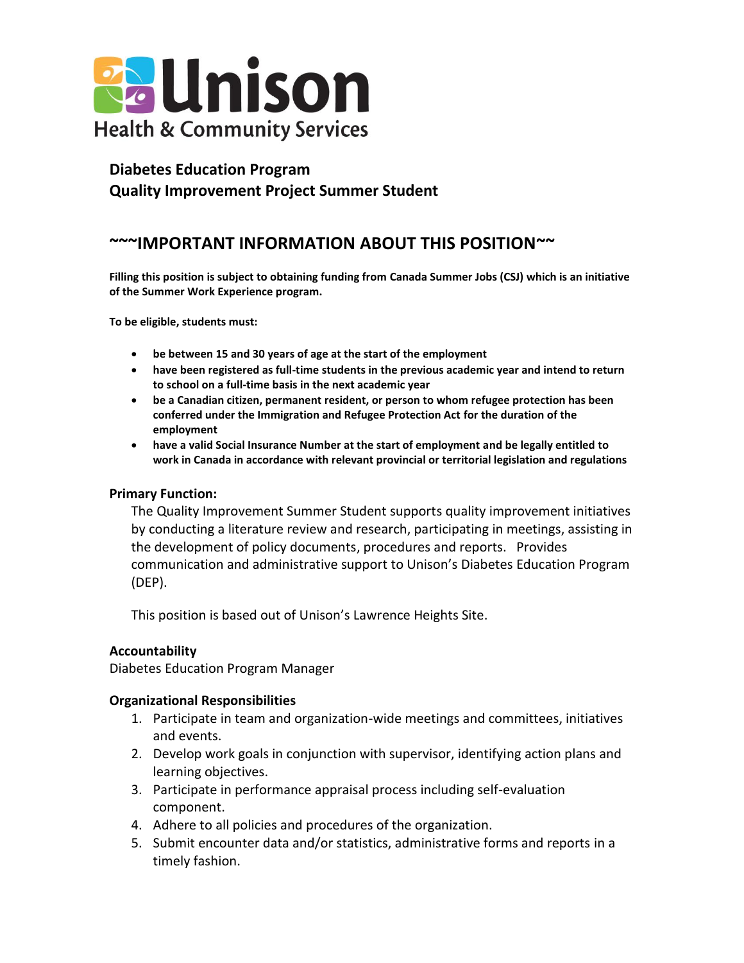

## **Diabetes Education Program Quality Improvement Project Summer Student**

# **~~~IMPORTANT INFORMATION ABOUT THIS POSITION~~**

**Filling this position is subject to obtaining funding from Canada Summer Jobs (CSJ) which is an initiative of the Summer Work Experience program.**

**To be eligible, students must:**

- **be between 15 and 30 years of age at the start of the employment**
- **have been registered as full-time students in the previous academic year and intend to return to school on a full-time basis in the next academic year**
- **be a Canadian citizen, permanent resident, or person to whom refugee protection has been conferred under the Immigration and Refugee Protection Act for the duration of the employment**
- **have a valid Social Insurance Number at the start of employment and be legally entitled to work in Canada in accordance with relevant provincial or territorial legislation and regulations**

#### **Primary Function:**

The Quality Improvement Summer Student supports quality improvement initiatives by conducting a literature review and research, participating in meetings, assisting in the development of policy documents, procedures and reports. Provides communication and administrative support to Unison's Diabetes Education Program (DEP).

This position is based out of Unison's Lawrence Heights Site.

#### **Accountability**

Diabetes Education Program Manager

#### **Organizational Responsibilities**

- 1. Participate in team and organization-wide meetings and committees, initiatives and events.
- 2. Develop work goals in conjunction with supervisor, identifying action plans and learning objectives.
- 3. Participate in performance appraisal process including self-evaluation component.
- 4. Adhere to all policies and procedures of the organization.
- 5. Submit encounter data and/or statistics, administrative forms and reports in a timely fashion.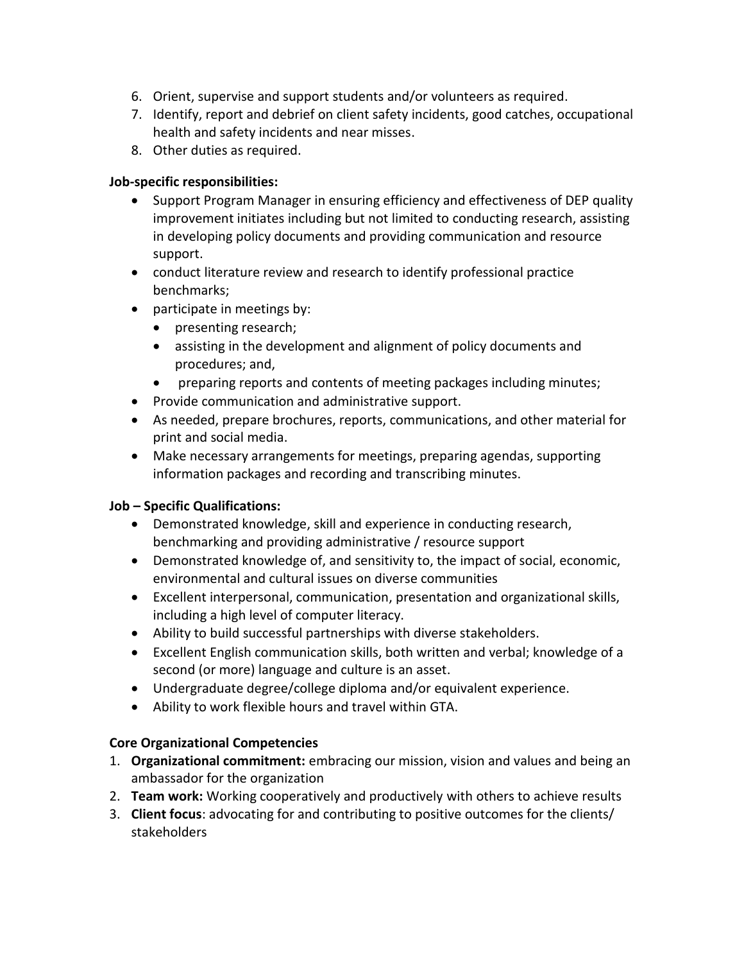- 6. Orient, supervise and support students and/or volunteers as required.
- 7. Identify, report and debrief on client safety incidents, good catches, occupational health and safety incidents and near misses.
- 8. Other duties as required.

#### **Job-specific responsibilities:**

- Support Program Manager in ensuring efficiency and effectiveness of DEP quality improvement initiates including but not limited to conducting research, assisting in developing policy documents and providing communication and resource support.
- conduct literature review and research to identify professional practice benchmarks;
- participate in meetings by:
	- presenting research;
	- assisting in the development and alignment of policy documents and procedures; and,
	- preparing reports and contents of meeting packages including minutes;
- Provide communication and administrative support.
- As needed, prepare brochures, reports, communications, and other material for print and social media.
- Make necessary arrangements for meetings, preparing agendas, supporting information packages and recording and transcribing minutes.

## **Job – Specific Qualifications:**

- Demonstrated knowledge, skill and experience in conducting research, benchmarking and providing administrative / resource support
- Demonstrated knowledge of, and sensitivity to, the impact of social, economic, environmental and cultural issues on diverse communities
- Excellent interpersonal, communication, presentation and organizational skills, including a high level of computer literacy.
- Ability to build successful partnerships with diverse stakeholders.
- Excellent English communication skills, both written and verbal; knowledge of a second (or more) language and culture is an asset.
- Undergraduate degree/college diploma and/or equivalent experience.
- Ability to work flexible hours and travel within GTA.

## **Core Organizational Competencies**

- 1. **Organizational commitment:** embracing our mission, vision and values and being an ambassador for the organization
- 2. **Team work:** Working cooperatively and productively with others to achieve results
- 3. **Client focus**: advocating for and contributing to positive outcomes for the clients/ stakeholders